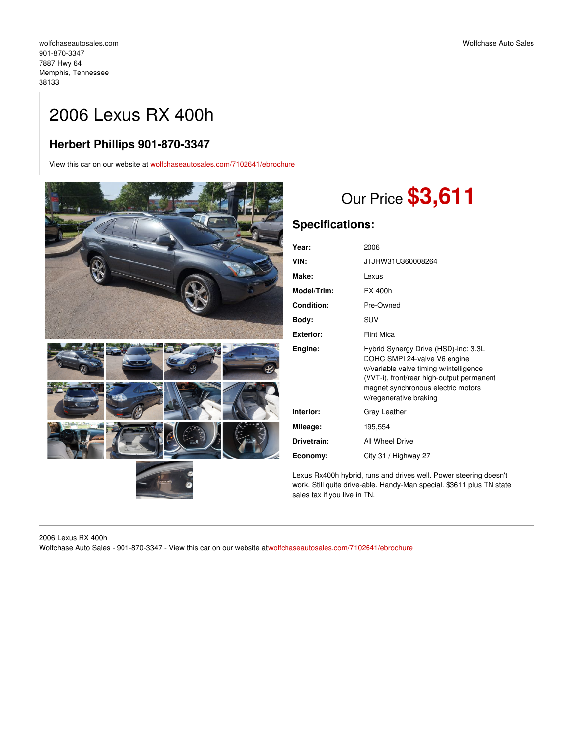## 2006 Lexus RX 400h

### **Herbert Phillips 901-870-3347**

View this car on our website at [wolfchaseautosales.com/7102641/ebrochure](https://wolfchaseautosales.com/vehicle/7102641/2006-lexus-rx-400h-memphis-tennessee-38133/7102641/ebrochure)



# Our Price **\$3,611**

### **Specifications:**

| Year:             | 2006                                                                                                                                                                                                                        |
|-------------------|-----------------------------------------------------------------------------------------------------------------------------------------------------------------------------------------------------------------------------|
| VIN:              | JTJHW31U360008264                                                                                                                                                                                                           |
| Make:             | Lexus                                                                                                                                                                                                                       |
| Model/Trim:       | <b>RX 400h</b>                                                                                                                                                                                                              |
| <b>Condition:</b> | Pre-Owned                                                                                                                                                                                                                   |
| Body:             | SUV                                                                                                                                                                                                                         |
| <b>Exterior:</b>  | <b>Flint Mica</b>                                                                                                                                                                                                           |
| Engine:           | Hybrid Synergy Drive (HSD)-inc: 3.3L<br>DOHC SMPI 24-valve V6 engine<br>w/variable valve timing w/intelligence<br>(VVT-i), front/rear high-output permanent<br>magnet synchronous electric motors<br>w/regenerative braking |
| Interior:         | Gray Leather                                                                                                                                                                                                                |
| Mileage:          | 195,554                                                                                                                                                                                                                     |
| Drivetrain:       | All Wheel Drive                                                                                                                                                                                                             |
| Economy:          | City 31 / Highway 27                                                                                                                                                                                                        |

Lexus Rx400h hybrid, runs and drives well. Power steering doesn't work. Still quite drive-able. Handy-Man special. \$3611 plus TN state sales tax if you live in TN.

2006 Lexus RX 400h Wolfchase Auto Sales - 901-870-3347 - View this car on our website a[twolfchaseautosales.com/7102641/ebrochure](https://wolfchaseautosales.com/vehicle/7102641/2006-lexus-rx-400h-memphis-tennessee-38133/7102641/ebrochure)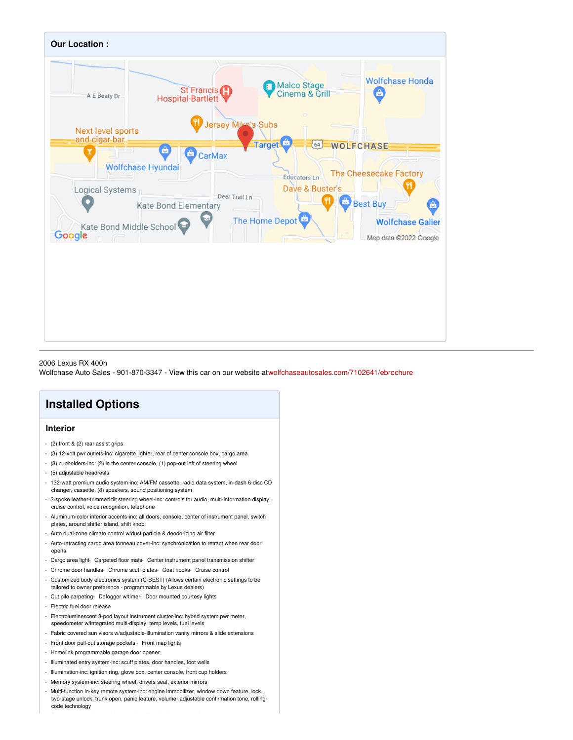

### 2006 Lexus RX 400h

Wolfchase Auto Sales - 901-870-3347 - View this car on our website a[twolfchaseautosales.com/7102641/ebrochure](https://wolfchaseautosales.com/vehicle/7102641/2006-lexus-rx-400h-memphis-tennessee-38133/7102641/ebrochure)

### **Installed Options**

### **Interior**

- (2) front & (2) rear assist grips
- (3) 12-volt pwr outlets-inc: cigarette lighter, rear of center console box, cargo area
- (3) cupholders-inc: (2) in the center console, (1) pop-out left of steering wheel
- (5) adjustable headrests
- 132-watt premium audio system-inc: AM/FM cassette, radio data system, in-dash 6-disc CD changer, cassette, (8) speakers, sound positioning system
- 3-spoke leather-trimmed tilt steering wheel-inc: controls for audio, multi-information display, cruise control, voice recognition, telephone
- Aluminum-color interior accents-inc: all doors, console, center of instrument panel, switch plates, around shifter island, shift knob
- Auto dual-zone climate control w/dust particle & deodorizing air filter
- Auto-retracting cargo area tonneau cover-inc: synchronization to retract when rear door opens
- Cargo area light- Carpeted floor mats- Center instrument panel transmission shifter
- Chrome door handles- Chrome scuff plates- Coat hooks- Cruise control
- Customized body electronics system (C-BEST) (Allows certain electronic settings to be tailored to owner preference - programmable by Lexus dealers)
- Cut pile carpeting- Defogger w/timer- Door mounted courtesy lights
- Electric fuel door release
- Electroluminescent 3-pod layout instrument cluster-inc: hybrid system pwr meter, speedometer w/integrated multi-display, temp levels, fuel levels
- Fabric covered sun visors w/adjustable-illumination vanity mirrors & slide extensions
- Front door pull-out storage pockets Front map lights
- Homelink programmable garage door opener
- Illuminated entry system-inc: scuff plates, door handles, foot wells
- Illumination-inc: ignition ring, glove box, center console, front cup holders
- Memory system-inc: steering wheel, drivers seat, exterior mirrors
- Multi-function in-key remote system-inc: engine immobilizer, window down feature, lock, two-stage unlock, trunk open, panic feature, volume- adjustable confirmation tone, rollingcode technology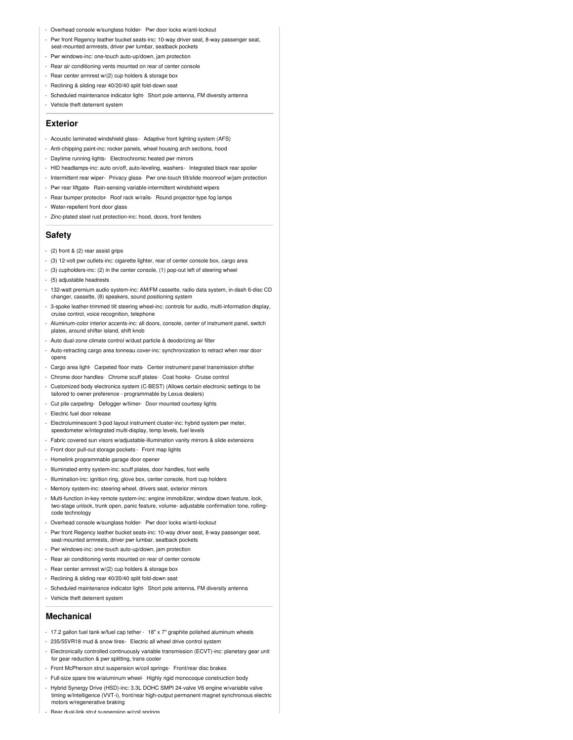- Overhead console w/sunglass holder- Pwr door locks w/anti-lockout
- Pwr front Regency leather bucket seats-inc: 10-way driver seat, 8-way passenger seat,
- seat-mounted armrests, driver pwr lumbar, seatback pockets
- Pwr windows-inc: one-touch auto-up/down, jam protection - Rear air conditioning vents mounted on rear of center console
- 
- Rear center armrest w/(2) cup holders & storage box
- Reclining & sliding rear 40/20/40 split fold-down seat
- Scheduled maintenance indicator light- Short pole antenna, FM diversity antenna
- Vehicle theft deterrent system

#### **Exterior**

- Acoustic laminated windshield glass- Adaptive front lighting system (AFS)
- Anti-chipping paint-inc: rocker panels, wheel housing arch sections, hood
- Daytime running lights- Electrochromic heated pwr mirrors
- HID headlamps-inc: auto on/off, auto-leveling, washers- Integrated black rear spoiler
- Intermittent rear wiper- Privacy glass- Pwr one-touch tilt/slide moonroof w/jam protection
- Pwr rear liftgate- Rain-sensing variable-intermittent windshield wipers
- Rear bumper protector- Roof rack w/rails- Round projector-type fog lamps
- Water-repellent front door glass
- Zinc-plated steel rust protection-inc: hood, doors, front fenders

#### **Safety**

- (2) front & (2) rear assist grips
- (3) 12-volt pwr outlets-inc: cigarette lighter, rear of center console box, cargo area
- (3) cupholders-inc: (2) in the center console, (1) pop-out left of steering wheel
- (5) adjustable headrests
- 132-watt premium audio system-inc: AM/FM cassette, radio data system, in-dash 6-disc CD changer, cassette, (8) speakers, sound positioning system
- 3-spoke leather-trimmed tilt steering wheel-inc: controls for audio, multi-information display, cruise control, voice recognition, telephone
- Aluminum-color interior accents-inc: all doors, console, center of instrument panel, switch plates, around shifter island, shift knob
- Auto dual-zone climate control w/dust particle & deodorizing air filter
- Auto-retracting cargo area tonneau cover-inc: synchronization to retract when rear door opens
- Cargo area light- Carpeted floor mats- Center instrument panel transmission shifter
- Chrome door handles- Chrome scuff plates- Coat hooks- Cruise control
- Customized body electronics system (C-BEST) (Allows certain electronic settings to be tailored to owner preference - programmable by Lexus dealers)
- Cut pile carpeting- Defogger w/timer- Door mounted courtesy lights
- Electric fuel door release
- Electroluminescent 3-pod layout instrument cluster-inc: hybrid system pwr meter, speedometer w/integrated multi-display, temp levels, fuel levels
- Fabric covered sun visors w/adjustable-illumination vanity mirrors & slide extensions
- Front door pull-out storage pockets Front map lights
- Homelink programmable garage door opener
- Illuminated entry system-inc: scuff plates, door handles, foot wells
- Illumination-inc: ignition ring, glove box, center console, front cup holders
- Memory system-inc: steering wheel, drivers seat, exterior mirrors
- Multi-function in-key remote system-inc: engine immobilizer, window down feature, lock, two-stage unlock, trunk open, panic feature, volume- adjustable confirmation tone, rollingcode technology
- Overhead console w/sunglass holder- Pwr door locks w/anti-lockout
- Pwr front Regency leather bucket seats-inc: 10-way driver seat, 8-way passenger seat, seat-mounted armrests, driver pwr lumbar, seatback pockets
- Pwr windows-inc: one-touch auto-up/down, jam protection
- Rear air conditioning vents mounted on rear of center console
- Rear center armrest w/(2) cup holders & storage box
- Reclining & sliding rear 40/20/40 split fold-down seat
- Scheduled maintenance indicator light- Short pole antenna, FM diversity antenna
- Vehicle theft deterrent system

#### **Mechanical**

- 17.2 gallon fuel tank w/fuel cap tether 18" x 7" graphite polished aluminum wheels
- 235/55VR18 mud & snow tires- Electric all wheel drive control system
- Electronically controlled continuously variable transmission (ECVT)-inc: planetary gear unit for gear reduction & pwr splitting, trans cooler
- Front McPherson strut suspension w/coil springs- Front/rear disc brakes
- Full-size spare tire w/aluminum wheel- Highly rigid monocoque construction body
- Hybrid Synergy Drive (HSD)-inc: 3.3L DOHC SMPI 24-valve V6 engine w/variable valve timing w/intelligence (VVT-i), front/rear high-output permanent magnet synchronous electric motors w/regenerative braking
- Rear dual-link strut suspension w/coil springs